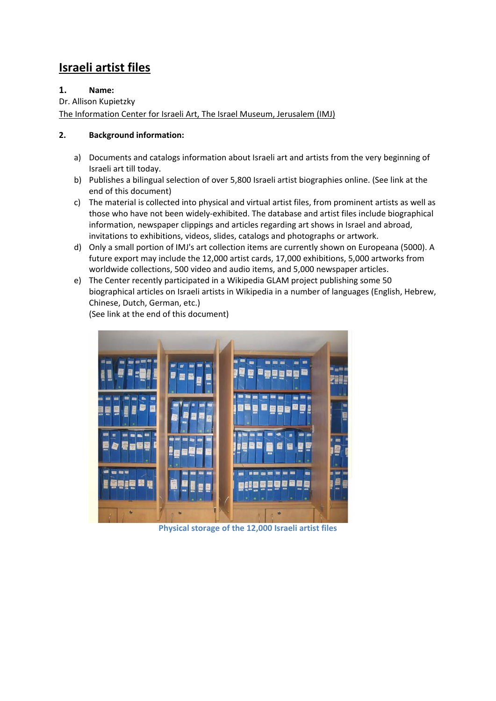# **Israeli artist files**

# **1. Name:**

Dr. Allison Kupietzky

The Information Center for Israeli Art, The Israel Museum, Jerusalem (IMJ)

# **2. Background information:**

- a) Documents and catalogs information about Israeli art and artists from the very beginning of Israeli art till today.
- b) Publishes a bilingual selection of over 5,800 Israeli artist biographies online. (See link at the end of this document)
- c) The material is collected into physical and virtual artist files, from prominent artists as well as those who have not been widely‐exhibited. The database and artist files include biographical information, newspaper clippings and articles regarding art shows in Israel and abroad, invitations to exhibitions, videos, slides, catalogs and photographs or artwork.
- d) Only a small portion of IMJ's art collection items are currently shown on Europeana (5000). A future export may include the 12,000 artist cards, 17,000 exhibitions, 5,000 artworks from worldwide collections, 500 video and audio items, and 5,000 newspaper articles.
- e) The Center recently participated in a Wikipedia GLAM project publishing some 50 biographical articles on Israeli artists in Wikipedia in a number of languages (English, Hebrew, Chinese, Dutch, German, etc.)

(See link at the end of this document)



**Physical storage of the 12,000 Israeli artist files**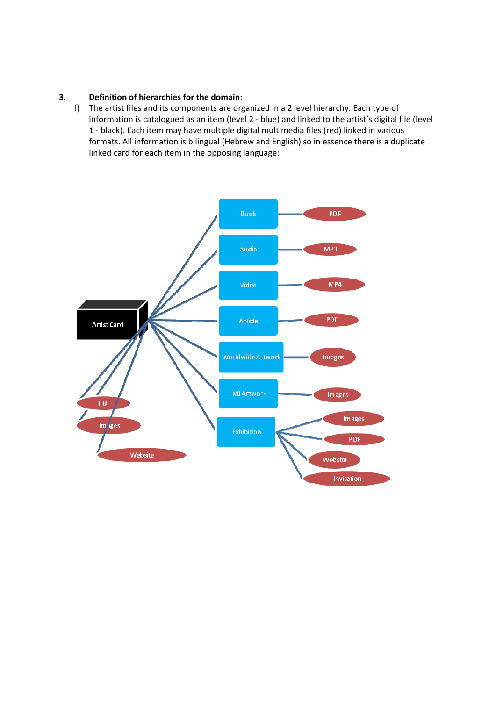## **3. Definition of hierarchies for the domain:**

f) The artist files and its components are organized in a 2 level hierarchy. Each type of information is catalogued as an item (level 2 ‐ blue) and linked to the artist's digital file (level 1 ‐ black). Each item may have multiple digital multimedia files (red) linked in various formats. All information is bilingual (Hebrew and English) so in essence there is a duplicate linked card for each item in the opposing language:

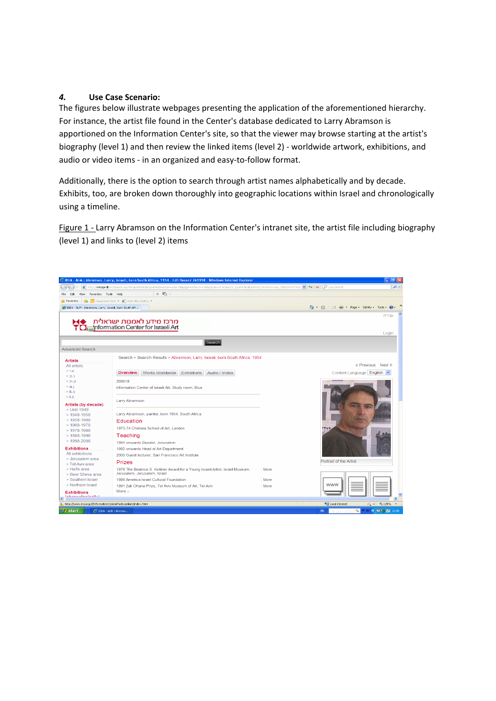#### *4.* **Use Case Scenario:**

The figures below illustrate webpages presenting the application of the aforementioned hierarchy. For instance, the artist file found in the Center's database dedicated to Larry Abramson is apportioned on the Information Center's site, so that the viewer may browse starting at the artist's biography (level 1) and then review the linked items (level 2) - worldwide artwork, exhibitions, and audio or video items ‐ in an organized and easy‐to‐follow format.

Additionally, there is the option to search through artist names alphabetically and by decade. Exhibits, too, are broken down thoroughly into geographic locations within Israel and chronologically using a timeline.

Figure 1 ‐ Larry Abramson on the Information Center's intranet site, the artist file including biography (level 1) and links to (level 2) items

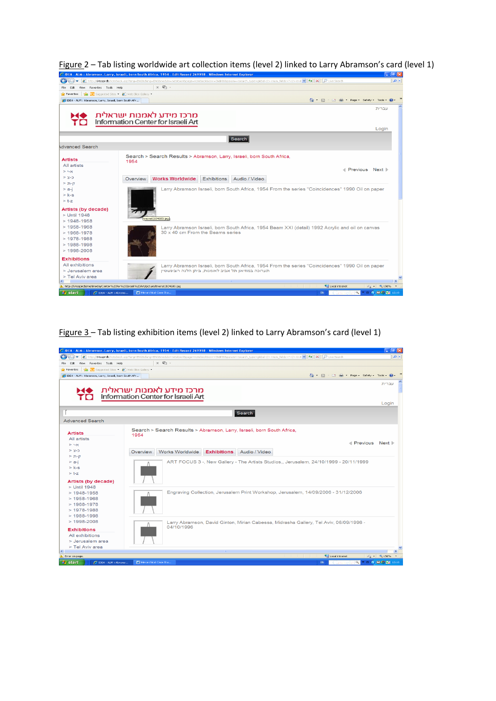

Figure 2 – Tab listing worldwide art collection items (level 2) linked to Larry Abramson's card (level 1)<br>C DLA - ALM : Abramson, Larry, Braeli, born South Africa, 1954 . Lift Record 209918 . Windows Internet Explorer

Figure 3 – Tab listing exhibition items (level 2) linked to Larry Abramson's card (level 1)

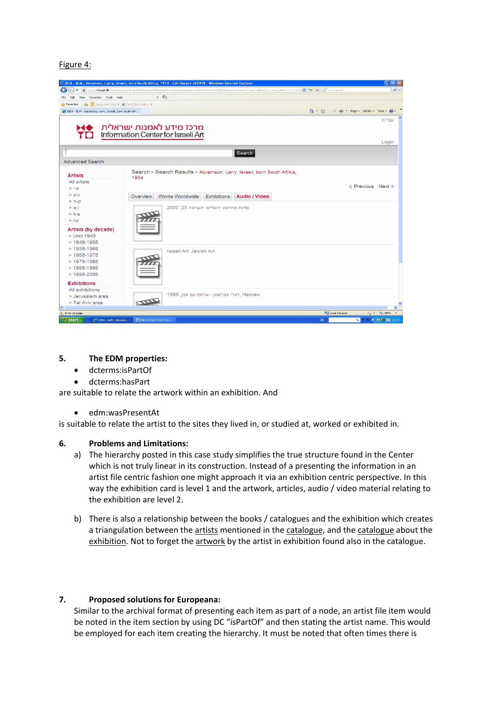Figure 4:



#### **5. The EDM properties:**

- dcterms:isPartOf
- dcterms:hasPart

are suitable to relate the artwork within an exhibition. And

edm:wasPresentAt

is suitable to relate the artist to the sites they lived in, or studied at, worked or exhibited in.

#### **6. Problems and Limitations:**

- a) The hierarchy posted in this case study simplifies the true structure found in the Center which is not truly linear in its construction. Instead of a presenting the information in an artist file centric fashion one might approach it via an exhibition centric perspective. In this way the exhibition card is level 1 and the artwork, articles, audio / video material relating to the exhibition are level 2.
- b) There is also a relationship between the books / catalogues and the exhibition which creates a triangulation between the artists mentioned in the catalogue, and the catalogue about the exhibition. Not to forget the artwork by the artist in exhibition found also in the catalogue.

#### **7. Proposed solutions for Europeana:**

Similar to the archival format of presenting each item as part of a node, an artist file item would be noted in the item section by using DC "isPartOf" and then stating the artist name. This would be employed for each item creating the hierarchy. It must be noted that often times there is